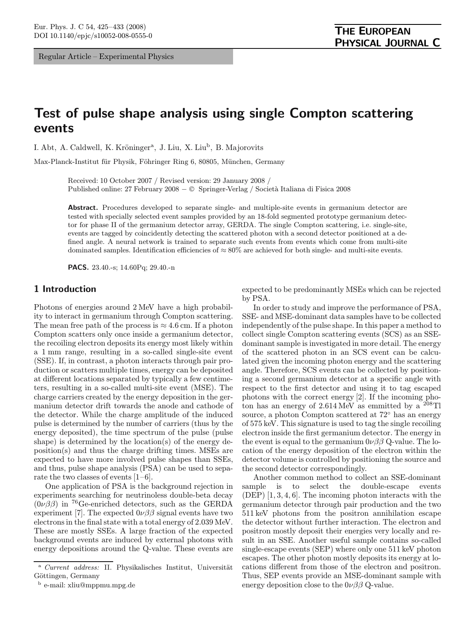Regular Article – Experimental Physics

# Test of pulse shape analysis using single Compton scattering events

I. Abt, A. Caldwell, K. Kröninger<sup>a</sup>, J. Liu, X. Liu<sup>b</sup>, B. Majorovits

Max-Planck-Institut für Physik, Föhringer Ring 6, 80805, München, Germany

Received: 10 October 2007 / Revised version: 29 January 2008 / Published online: 27 February 2008 − © Springer-Verlag / Società Italiana di Fisica 2008

Abstract. Procedures developed to separate single- and multiple-site events in germanium detector are tested with specially selected event samples provided by an 18-fold segmented prototype germanium detector for phase II of the germanium detector array, GERDA. The single Compton scattering, i.e. single-site, events are tagged by coincidently detecting the scattered photon with a second detector positioned at a defined angle. A neural network is trained to separate such events from events which come from multi-site dominated samples. Identification efficiencies of  $\approx 80\%$  are achieved for both single- and multi-site events.

PACS. 23.40.-s; 14.60Pq; 29.40.-n

## 1 Introduction

Photons of energies around 2 MeV have a high probability to interact in germanium through Compton scattering. The mean free path of the process is  $\approx 4.6$  cm. If a photon Compton scatters only once inside a germanium detector, the recoiling electron deposits its energy most likely within a 1 mm range, resulting in a so-called single-site event (SSE). If, in contrast, a photon interacts through pair production or scatters multiple times, energy can be deposited at different locations separated by typically a few centimeters, resulting in a so-called multi-site event (MSE). The charge carriers created by the energy deposition in the germanium detector drift towards the anode and cathode of the detector. While the charge amplitude of the induced pulse is determined by the number of carriers (thus by the energy deposited), the time spectrum of the pulse (pulse shape) is determined by the location(s) of the energy deposition(s) and thus the charge drifting times. MSEs are expected to have more involved pulse shapes than SSEs, and thus, pulse shape analysis (PSA) can be used to separate the two classes of events [1–6].

One application of PSA is the background rejection in experiments searching for neutrinoless double-beta decay  $(0\nu\beta\beta)$  in <sup>76</sup>Ge-enriched detectors, such as the GERDA experiment [7]. The expected  $0\nu\beta\beta$  signal events have two electrons in the final state with a total energy of 2.039 MeV. These are mostly SSEs. A large fraction of the expected background events are induced by external photons with energy depositions around the Q-value. These events are expected to be predominantly MSEs which can be rejected by PSA.

In order to study and improve the performance of PSA, SSE- and MSE-dominant data samples have to be collected independently of the pulse shape. In this paper a method to collect single Compton scattering events (SCS) as an SSEdominant sample is investigated in more detail. The energy of the scattered photon in an SCS event can be calculated given the incoming photon energy and the scattering angle. Therefore, SCS events can be collected by positioning a second germanium detector at a specific angle with respect to the first detector and using it to tag escaped photons with the correct energy [2]. If the incoming photon has an energy of  $2.614 \text{ MeV}$  as emmitted by a  $^{208}\text{Ti}$ source, a photon Compton scattered at 72◦ has an energy of 575 keV. This signature is used to tag the single recoiling electron inside the first germanium detector. The energy in the event is equal to the germanium  $0\nu\beta\beta$  Q-value. The location of the energy deposition of the electron within the detector volume is controlled by positioning the source and the second detector correspondingly.

Another common method to collect an SSE-dominant sample is to select the double-escape events (DEP) [1, 3, 4, 6]. The incoming photon interacts with the germanium detector through pair production and the two 511 keV photons from the positron annihilation escape the detector without further interaction. The electron and positron mostly deposit their energies very locally and result in an SSE. Another useful sample contains so-called single-escape events (SEP) where only one 511 keV photon escapes. The other photon mostly deposits its energy at locations different from those of the electron and positron. Thus, SEP events provide an MSE-dominant sample with energy deposition close to the  $0\nu\beta\beta$  Q-value.

 $a$  Current address: II. Physikalisches Institut, Universität Göttingen, Germany

<sup>b</sup> e-mail: xliu@mppmu.mpg.de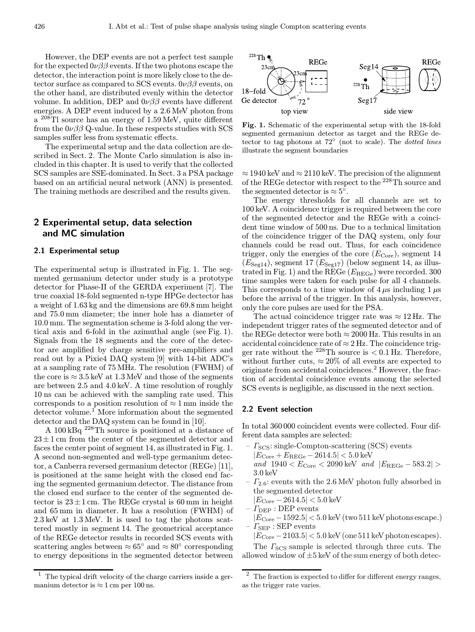However, the DEP events are not a perfect test sample for the expected  $0\nu\beta\beta$  events. If the two photons escape the detector, the interaction point is more likely close to the detector surface as compared to SCS events.  $0\nu\beta\beta$  events, on the other hand, are distributed evenly within the detector volume. In addition, DEP and  $0\nu\beta\beta$  events have different energies. A DEP event induced by a 2.6 MeV photon from a <sup>208</sup>Tl source has an energy of 1.59 MeV, quite different from the  $0\nu\beta\beta$  Q-value. In these respects studies with SCS samples suffer less from systematic effects.

The experimental setup and the data collection are described in Sect. 2. The Monte Carlo simulation is also included in this chapter. It is used to verify that the collected SCS samples are SSE-dominated. In Sect. 3 a PSA package based on an artificial neural network (ANN) is presented. The training methods are described and the results given.

# 2 Experimental setup, data selection and MC simulation

## 2.1 Experimental setup

The experimental setup is illustrated in Fig. 1. The segmented germanium detector under study is a prototype detector for Phase-II of the GERDA experiment [7]. The true coaxial 18-fold segmented n-type HPGe dectector has a weight of 1.63 kg and the dimensions are 69.8 mm height and 75.0 mm diameter; the inner hole has a diameter of 10.0 mm. The segmentation scheme is 3-fold along the vertical axis and 6-fold in the azimuthal angle (see Fig. 1). Signals from the 18 segments and the core of the detector are amplified by charge sensitive pre-amplifiers and read out by a Pixie4 DAQ system [9] with 14-bit ADC's at a sampling rate of 75 MHz. The resolution (FWHM) of the core is  $\approx 3.5$  keV at 1.3 MeV and those of the segments are between 2.5 and 4.0 keV. A time resolution of roughly 10 ns can be achieved with the sampling rate used. This corresponds to a position resolution of  $\approx 1 \,\mathrm{mm}$  inside the detector volume.<sup>1</sup> More information about the segmented detector and the DAQ system can be found in [10].

A 100 kBq <sup>228</sup>Th source is positioned at a distance of  $23 \pm 1$  cm from the center of the segmented detector and faces the center point of segment 14, as illustrated in Fig. 1. A second non-segmented and well-type germanium detector, a Canberra reversed germanium detector (REGe) [11], is positioned at the same height with the closed end facing the segmented germanium detector. The distance from the closed end surface to the center of the segmented detector is  $23 \pm 1$  cm. The REGe crystal is 60 mm in height and 65 mm in diameter. It has a resolution (FWHM) of 2.3 keV at 1.3 MeV. It is used to tag the photons scattered mostly in segment 14. The geometrical acceptance of the REGe detector results in recorded SCS events with scattering angles between  $\approx 65^{\circ}$  and  $\approx 80^{\circ}$  corresponding to energy depositions in the segmented detector between





Fig. 1. Schematic of the experimental setup with the 18-fold segmented germanium detector as target and the REGe detector to tag photons at  $72^\circ$  (not to scale). The *dotted lines* illustrate the segment boundaries

 $\approx$  1940 keV and  $\approx$  2110 keV. The precision of the alignment of the REGe detector with respect to the <sup>228</sup>Th source and the segmented detector is  $\approx 5^{\circ}$ .

The energy thresholds for all channels are set to 100 keV. A coincidence trigger is required between the core of the segmented detector and the REGe with a coincident time window of 500 ns. Due to a technical limitation of the coincidence trigger of the DAQ system, only four channels could be read out. Thus, for each coincidence trigger, only the energies of the core  $(E_{\text{Core}})$ , segment 14  $(E_{\text{Seg14}})$ , segment 17  $(E_{\text{Seg17}})$  (below segment 14, as illustrated in Fig. 1) and the REGe  $(E_{\text{REGe}})$  were recorded. 300 time samples were taken for each pulse for all 4 channels. This corresponds to a time window of  $4 \mu s$  including  $1 \mu s$ before the arrival of the trigger. In this analysis, however, only the core pulses are used for the PSA.

The actual coincidence trigger rate was  $\approx 12 \text{ Hz}$ . The independent trigger rates of the segmented detector and of the REGe detector were both  $\approx 2000$  Hz. This results in an accidental coincidence rate of  $\approx$  2 Hz. The coincidence trigger rate without the <sup>228</sup>Th source is  $< 0.1$  Hz. Therefore, without further cuts,  $\approx 20\%$  of all events are expected to originate from accidental coincidences.<sup>2</sup> However, the fraction of accidental coincidence events among the selected SCS events is negligible, as discussed in the next section.

#### 2.2 Event selection

In total 360 000 coincident events were collected. Four different data samples are selected:

- $\Gamma_{\text{SCS}}$ : single-Compton-scattering (SCS) events  $|E_{\text{Core}} + E_{\text{REGe}} - 2614.5| < 5.0 \text{ keV}$ and  $1940 < E<sub>Core</sub> < 2090$  keV and  $|E<sub>REGe</sub> − 583.2| >$ 3.0 keV
- $I_{2.6}$ : events with the 2.6 MeV photon fully absorbed in the segmented detector

 $|E_{\text{Core}} - 2614.5| < 5.0 \text{ keV}$ 

- $\Gamma_{\rm DEP}$ : DEP events
- $|E_{\text{Core}} 1592.5| < 5.0$  keV (two 511 keV photons escape.)  $- I_{\text{SEP}}$ : SEP events

 $|E_{\rm Core} - 2103.5| < 5.0$  keV (one 511 keV photon escapes).

The  $\Gamma_{\text{SCS}}$  sample is selected through three cuts. The allowed window of  $\pm 5$  keV of the sum energy of both detec-

<sup>2</sup> The fraction is expected to differ for different energy ranges, as the trigger rate varies.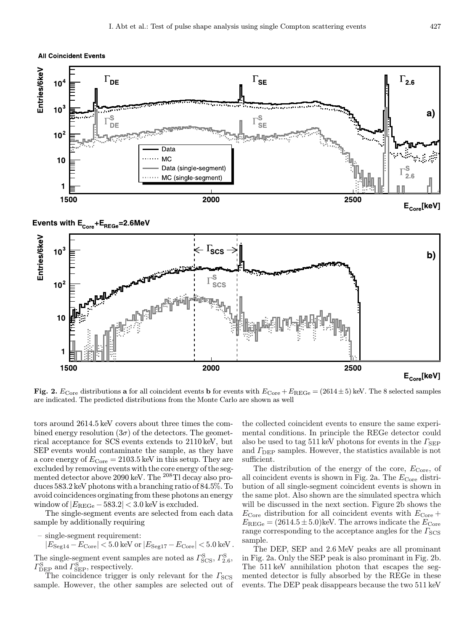**All Coincident Events** 





tors around 2614.5 keV covers about three times the combined energy resolution  $(3\sigma)$  of the detectors. The geometrical acceptance for SCS events extends to 2110 keV, but SEP events would contaminate the sample, as they have a core energy of  $E_{\text{Core}} = 2103.5 \text{ keV}$  in this setup. They are excluded by removing events with the core energy of the segmented detector above 2090 keV. The <sup>208</sup>Tl decay also produces 583.2 keV photons with a branching ratio of 84.5%. To avoid coincidences orginating from these photons an energy window of  $|E_{\text{REGe}} - 583.2| < 3.0$  keV is excluded.

The single-segment events are selected from each data sample by additionally requiring

– single-segment requirement:

1

 $|E_{\text{Seg14}} - E_{\text{Core}}| < 5.0 \text{ keV}$  or  $|E_{\text{Seg17}} - E_{\text{Core}}| < 5.0 \text{ keV}$ .

The single-segment event samples are noted as  $\Gamma_{\text{SCS}}^{\text{S}}$ ,  $\Gamma_{2.6}^{\text{S}}$ ,  $\Gamma_{\rm DEP}^{\rm S}$  and  $\Gamma_{\rm SEP}^{\rm S}$ , respectively.

The coincidence trigger is only relevant for the  $\Gamma<sub>SCS</sub>$ sample. However, the other samples are selected out of

the collected coincident events to ensure the same experimental conditions. In principle the REGe detector could also be used to tag 511 keV photons for events in the  $\Gamma_{\rm SEP}$ and  $\Gamma_{\text{DEP}}$  samples. However, the statistics available is not sufficient.

The distribution of the energy of the core,  $E_{\text{Core}}$ , of all coincident events is shown in Fig. 2a. The  $E_{\text{Core}}$  distribution of all single-segment coincident events is shown in the same plot. Also shown are the simulated spectra which will be discussed in the next section. Figure 2b shows the  $E_{\text{Core}}$  distribution for all coincident events with  $E_{\text{Core}} +$  $E_{\text{REGe}} = (2614.5 \pm 5.0)$ keV. The arrows indicate the  $E_{\text{Core}}$ range corresponding to the acceptance angles for the  $\Gamma_{\rm SCS}$ sample.

The DEP, SEP and 2.6 MeV peaks are all prominant in Fig. 2a. Only the SEP peak is also prominant in Fig. 2b. The 511 keV annihilation photon that escapes the segmented detector is fully absorbed by the REGe in these events. The DEP peak disappears because the two 511 keV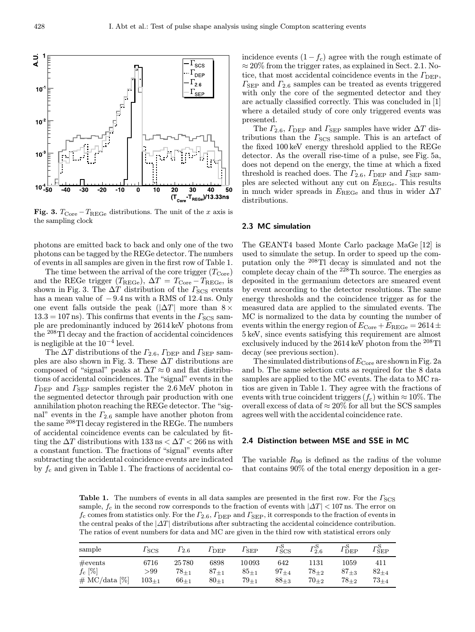$-\Gamma_{\rm SCS}$  $\cdot \Gamma_{\rm DEP}$  $\cdot\Gamma_{2.6}$ 



Fig. 3.  $T_{\text{Core}} - T_{\text{REGe}}$  distributions. The unit of the x axis is the sampling clock

photons are emitted back to back and only one of the two photons can be tagged by the REGe detector. The numbers of events in all samples are given in the first row of Table 1.

The time between the arrival of the core trigger  $(T_{\text{Core}})$ and the REGe trigger ( $T_{\text{REGe}}$ ),  $\Delta T = T_{\text{Core}} - T_{\text{REGe}}$ , is shown in Fig. 3. The  $\Delta T$  distribution of the  $\Gamma_{\text{SCS}}$  events has a mean value of  $-9.4$  ns with a RMS of 12.4 ns. Only one event falls outside the peak ( $|\Delta T|$  more than 8  $\times$  $13.3 = 107$  ns). This confirms that events in the  $\Gamma<sub>SCS</sub>$  sample are predominantly induced by 2614 keV photons from the <sup>208</sup>Tl decay and the fraction of accidental coincidences is negligible at the  $10^{-4}$  level.

The  $\Delta T$  distributions of the  $\Gamma_{2.6}$ ,  $\Gamma_{\rm DEP}$  and  $\Gamma_{\rm SEP}$  samples are also shown in Fig. 3. These  $\Delta T$  distributions are composed of "signal" peaks at  $\Delta T \approx 0$  and flat distributions of accidental coincidences. The "signal" events in the  $\Gamma_{\rm DEP}$  and  $\Gamma_{\rm SEP}$  samples register the 2.6 MeV photon in the segmented detector through pair production with one annihilation photon reaching the REGe detector. The "signal" events in the  $\Gamma_{2,6}$  sample have another photon from the same <sup>208</sup>Tl decay registered in the REGe. The numbers of accidental coincidence events can be calculated by fitting the  $\Delta T$  distributions with 133 ns  $< \Delta T < 266$  ns with a constant function. The fractions of "signal" events after subtracting the accidental coincidence events are indicated by  $f_c$  and given in Table 1. The fractions of accidental coincidence events  $(1-f_c)$  agree with the rough estimate of  $\approx 20\%$  from the trigger rates, as explained in Sect. 2.1. Notice, that most accidental coincidence events in the  $\Gamma_{\text{DEP}}$ ,  $\Gamma_{\rm SEP}$  and  $\Gamma_{2.6}$  samples can be treated as events triggered with only the core of the segmented detector and they are actually classified correctly. This was concluded in [1] where a detailed study of core only triggered events was presented.

The  $\Gamma_{2.6}$ ,  $\Gamma_{\rm DEP}$  and  $\Gamma_{\rm SEP}$  samples have wider  $\Delta T$  distributions than the  $\Gamma_{\text{SCS}}$  sample. This is an artefact of the fixed 100 keV energy threshold applied to the REGe detector. As the overall rise-time of a pulse, see Fig. 5a, does not depend on the energy, the time at which a fixed threshold is reached does. The  $\Gamma_{2.6}$ ,  $\Gamma_{\rm DEP}$  and  $\Gamma_{\rm SEP}$  samples are selected without any cut on EREGe. This results in much wider spreads in  $E_{\text{REGe}}$  and thus in wider  $\Delta T$ distributions.

#### 2.3 MC simulation

The GEANT4 based Monte Carlo package MaGe [12] is used to simulate the setup. In order to speed up the computation only the <sup>208</sup>Tl decay is simulated and not the complete decay chain of the  $2^{28}$ Th source. The energies as deposited in the germanium detectors are smeared event by event according to the detector resolutions. The same energy thresholds and the coincidence trigger as for the measured data are applied to the simulated events. The MC is normalized to the data by counting the number of events within the energy region of  $E_{\text{Core}} + E_{\text{REGe}} = 2614 \pm$ 5 keV, since events satisfying this requirement are almost exclusively induced by the  $2614 \,\text{keV}$  photon from the  $^{208}\text{Ti}$ decay (see previous section).

The simulated distributions of  $E_{\text{Core}}$  are shown in Fig. 2a and b. The same selection cuts as required for the 8 data samples are applied to the MC events. The data to MC ratios are given in Table 1. They agree with the fractions of events with true coincident triggers  $(f_c)$  within  $\approx 10\%$ . The overall excess of data of  $\approx 20\%$  for all but the SCS samples agrees well with the accidental coincidence rate.

#### 2.4 Distinction between MSE and SSE in MC

The variable  $R_{90}$  is defined as the radius of the volume that contains 90% of the total energy deposition in a ger-

**Table 1.** The numbers of events in all data samples are presented in the first row. For the  $\Gamma_{\text{SCS}}$ sample,  $f_c$  in the second row corresponds to the fraction of events with  $|\Delta T|$  < 107 ns. The error on  $f_c$  comes from statistics only. For the  $\Gamma_{2.6}$ ,  $\Gamma_{\rm DEP}$  and  $\Gamma_{\rm SEP}$ , it corresponds to the fraction of events in the central peaks of the  $|\Delta T|$  distributions after subtracting the accidental coincidence contribution. The ratios of event numbers for data and MC are given in the third row with statistical errors only

| sample                                                                | $I_{SCS}$                          | $\Gamma_{2.6}$                     | $I_{\rm DEP}$                  | $\Gamma_{\rm SEP}$                    | $\Gamma_{\rm SCS}^{\rm S}$ | $\Gamma_{2.6}^{\rm S}$         | $r_{\rm DEP}^{\rm S}$              | $r_{\rm SEP}^{\rm S}$            |
|-----------------------------------------------------------------------|------------------------------------|------------------------------------|--------------------------------|---------------------------------------|----------------------------|--------------------------------|------------------------------------|----------------------------------|
| $\#\text{events}$<br>$f_c \; [\%]$<br>$\# \text{MC}/\text{data} [\%]$ | 6716<br>$>\!\!99$<br>$103_{\pm 1}$ | 25780<br>$78_{\pm 1}$<br>$66_{+1}$ | 6898<br>$87_{+1}$<br>$80_{+1}$ | 10093<br>$85_{\pm 1}$<br>$79_{\pm 1}$ | 642<br>$97_{+4}$<br>$88+3$ | 1131<br>$78_{+2}$<br>$70_{+2}$ | $1059\,$<br>$87_{+3}$<br>$78_{+2}$ | 411<br>$82_{+4}$<br>$73_{\pm 4}$ |

₹

 $10$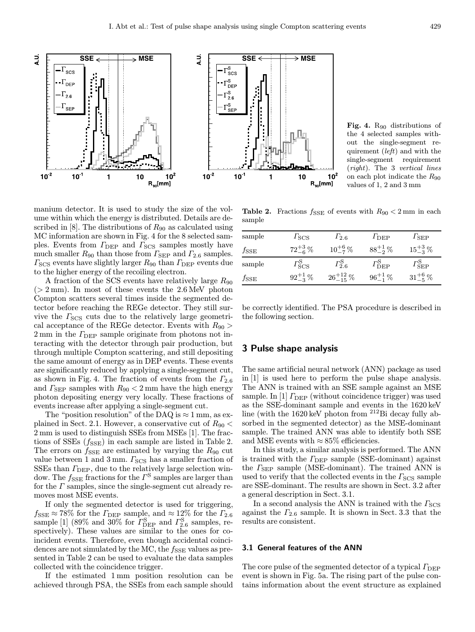

**SSE** ₹ **MSE**  $\Gamma_{\text{SCS}}^{\text{S}}$  $\Gamma_{\textsf{DEP}}^{\textsf{S}}$  $\mathsf{T}^\mathsf{S}_{2\,6}$  $\Gamma^{\rm S}_{\rm SE}$  $10<sup>-1</sup>$  $10<sup>2</sup>$  $10$ 1  $10^2$  $R_{90}$ [mm]

Fig. 4. R<sub>90</sub> distributions of the 4 selected samples without the single-segment requirement (left) and with the single-segment requirement (right). The 3 vertical lines on each plot indicate the  $R_{90}$ values of 1, 2 and 3 mm

manium detector. It is used to study the size of the volume within which the energy is distributed. Details are described in [8]. The distributions of  $R_{90}$  as calculated using MC information are shown in Fig. 4 for the 8 selected samples. Events from  $\Gamma_{\text{DEP}}$  and  $\Gamma_{\text{SCS}}$  samples mostly have much smaller  $R_{90}$  than those from  $\Gamma_{\rm SEP}$  and  $\Gamma_{2.6}$  samples.  $\Gamma_{\text{SCS}}$  events have slightly larger  $R_{90}$  than  $\Gamma_{\text{DEP}}$  events due to the higher energy of the recoiling electron.

A fraction of the SCS events have relatively large  $R_{90}$  $(> 2 \,\mathrm{mm})$ . In most of these events the 2.6 MeV photon Compton scatters several times inside the segmented detector before reaching the REGe detector. They still survive the  $\Gamma_{SCS}$  cuts due to the relatively large geometrical acceptance of the REGe detector. Events with  $R_{90}$  >  $2 \text{ mm}$  in the  $\Gamma_{\text{DEP}}$  sample originate from photons not interacting with the detector through pair production, but through multiple Compton scattering, and still depositing the same amount of energy as in DEP events. These events are significantly reduced by applying a single-segment cut, as shown in Fig. 4. The fraction of events from the  $\Gamma_{2.6}$ and  $\Gamma_{\rm SEP}$  samples with  $R_{90} < 2 \,\rm mm$  have the high energy photon depositing energy very locally. These fractions of events increase after applying a single-segment cut.

The "position resolution" of the DAQ is  $\approx$  1 mm, as explained in Sect. 2.1. However, a conservative cut of  $R_{90}$  < 2 mm is used to distinguish SSEs from MSEs [1]. The fractions of SSEs  $(f_{\text{SSE}})$  in each sample are listed in Table 2. The errors on  $f_{\text{SSE}}$  are estimated by varying the  $R_{90}$  cut value between 1 and 3 mm.  $\Gamma_{\textrm{SCS}}$  has a smaller fraction of SSEs than  $\Gamma_{\text{DEP}}$ , due to the relatively large selection window. The  $f_{\text{SSE}}$  fractions for the  $\Gamma^{\text{S}}$  samples are larger than for the  $\Gamma$  samples, since the single-segment cut already removes most MSE events.

If only the segmented detector is used for triggering,  $f_{\text{SSE}} \approx 78\%$  for the  $\Gamma_{\text{DEP}}$  sample, and  $\approx 12\%$  for the  $\Gamma_{2.6}$ sample [1] (89% and 30% for  $\Gamma_{\rm DEP}^{\rm S}$  and  $\Gamma_{2.6}^{\rm S}$  samples, respectively). These values are similar to the ones for coincident events. Therefore, even though accidental coincidences are not simulated by the MC, the  $f_{\text{SSE}}$  values as presented in Table 2 can be used to evaluate the data samples collected with the coincidence trigger.

If the estimated 1 mm position resolution can be achieved through PSA, the SSEs from each sample should

**Table 2.** Fractions  $f_{SSE}$  of events with  $R_{90} < 2 \text{ mm}$  in each sample

| sample        | $I_{SCS}$                     | $1_{2.6}$              | $I_{\rm DEP}$              | $\Gamma_{\rm SEP}$         |
|---------------|-------------------------------|------------------------|----------------------------|----------------------------|
| $f_{\rm SSE}$ | $72^{+3}_{-6}\%$              | $10^{+6}_{-7}\%$       | $88^{+1}_{-2}\%$           | $15^{+3}_{-3}$ %           |
| sample        | $\varGamma_{\rm SCS}^{\rm S}$ | $\Gamma_{2.6}^{\rm S}$ | $\Gamma_{\rm DEP}^{\rm S}$ | $\Gamma_{\rm SEP}^{\rm S}$ |
| $f_{\rm SSE}$ | $92^{+1}_{-3}\%$              | $26^{+12}_{-15}$ %     | $96^{+1}_{-1}\%$           | $31^{+6}_{-5}\%$           |

be correctly identified. The PSA procedure is described in the following section.

## 3 Pulse shape analysis

The same artificial neural network (ANN) package as used in [1] is used here to perform the pulse shape analysis. The ANN is trained with an SSE sample against an MSE sample. In [1]  $\Gamma_{\text{DEP}}$  (without coincidence trigger) was used as the SSE-dominant sample and events in the 1620 keV line (with the 1620 keV photon from <sup>212</sup>Bi decay fully absorbed in the segmented detector) as the MSE-dominant sample. The trained ANN was able to identify both SSE and MSE events with  $\approx 85\%$  efficiencies.

In this study, a similar analysis is performed. The ANN is trained with the  $\Gamma_{\text{DEP}}$  sample (SSE-dominant) against the  $\Gamma_{\rm SEP}$  sample (MSE-dominant). The trained ANN is used to verify that the collected events in the  $\Gamma<sub>SCS</sub>$  sample are SSE-dominant. The results are shown in Sect. 3.2 after a general description in Sect. 3.1.

In a second analysis the ANN is trained with the  $\Gamma_{\rm SCS}$ against the  $\Gamma_{2,6}$  sample. It is shown in Sect. 3.3 that the results are consistent.

#### 3.1 General features of the ANN

The core pulse of the segmented detector of a typical  $\Gamma_{\text{DEP}}$ event is shown in Fig. 5a. The rising part of the pulse contains information about the event structure as explained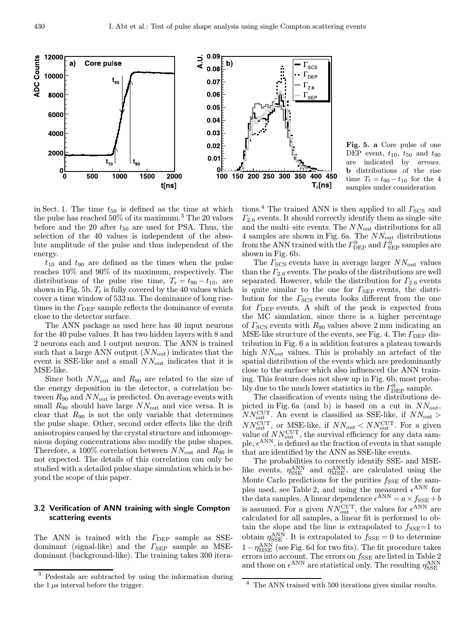

Fig. 5. a Core pulse of one DEP event,  $t_{10}$ ,  $t_{50}$  and  $t_{90}$ are indicated by arrows. b distributions of the rise time  $T_{\rm r} = t_{90} - t_{10}$  for the 4 samples under consideration

in Sect. 1. The time  $t_{50}$  is defined as the time at which the pulse has reached 50% of its maximum.<sup>3</sup> The 20 values before and the 20 after  $t_{50}$  are used for PSA. Thus, the selection of the 40 values is independent of the absolute amplitude of the pulse and thus independent of the energy.

 $t_{10}$  and  $t_{90}$  are defined as the times when the pulse reaches 10% and 90% of its maximum, respectively. The distributions of the pulse rise time,  $T_r = t_{90} - t_{10}$ , are shown in Fig. 5b.  $T_r$  is fully covered by the 40 values which cover a time window of 533 ns. The dominance of long risetimes in the  $\Gamma_{\text{DEP}}$  sample reflects the dominance of events close to the detector surface.

The ANN package as used here has 40 input neurons for the 40 pulse values. It has two hidden layers with 8 and 2 neurons each and 1 output neuron. The ANN is trained such that a large ANN output  $(NN_{\text{out}})$  indicates that the event is SSE-like and a small  $NN_{\text{out}}$  indicates that it is MSE-like.

Since both  $NN_{\text{out}}$  and  $R_{90}$  are related to the size of the energy deposition in the detector, a correlation between  $R_{90}$  and  $NN_{\text{out}}$  is predicted. On average events with small  $R_{90}$  should have large  $NN_{\text{out}}$  and vice versa. It is clear that  $R_{90}$  is not the only variable that determines the pulse shape. Other, second order effects like the drift anisotropies caused by the crystal structure and inhomogenious doping concentrations also modify the pulse shapes. Therefore, a 100% correlation between  $NN_{\text{out}}$  and  $R_{90}$  is not expected. The details of this correlation can only be studied with a detailed pulse shape simulation which is beyond the scope of this paper.

## 3.2 Verification of ANN training with single Compton scattering events

The ANN is trained with the  $\Gamma_{\text{DEP}}$  sample as SSEdominant (signal-like) and the  $\Gamma_{\rm SEP}$  sample as MSEdominant (background-like). The training takes 300 iterations.<sup>4</sup> The trained ANN is then applied to all  $\Gamma_{\text{SCS}}$  and  $\Gamma_{2.6}$  events. It should correctly identify them as single–site and the multi–site events. The  $NN_{\text{out}}$  distributions for all 4 samples are shown in Fig. 6a. The  $NN_{\text{out}}$  distributions from the ANN trained with the  $\Gamma_{\rm DEP}^{\rm S}$  and  $\Gamma_{\rm SEP}^{\rm S}$  samples are shown in Fig. 6b.

The  $\Gamma_{\text{SCS}}$  events have in average larger  $NN_{\text{out}}$  values than the  $\Gamma_{2.6}$  events. The peaks of the distributions are well separated. However, while the distribution for  $\Gamma_{2.6}$  events is quite similar to the one for  $\Gamma_{\rm SEP}$  events, the distribution for the  $\Gamma_{\rm{SCS}}$  events looks different from the one for  $\Gamma_{\text{DEP}}$  events. A shift of the peak is expected from the MC simulation, since there is a higher percentage of  $\Gamma_{\text{SCS}}$  events with  $R_{90}$  values above 2 mm indicating an MSE-like structure of the events, see Fig. 4. The  $\Gamma_{\text{DEP}}$  distribution in Fig. 6 a in addition features a plateau towards high  $NN_{\text{out}}$  values. This is probably an artefact of the spatial distribution of the events which are predominantly close to the surface which also influenced the ANN training. This feature does not show up in Fig. 6b, most probably due to the much lower statistics in the  $\Gamma_{\rm DEP}^{\rm S}$  sample.

The classification of events using the distributions depicted in Fig. 6a (and b) is based on a cut in  $NN_{\text{out}}$ ,  $NN_{\text{out}}^{\text{CUT}}$ . An event is classified as SSE-like, if  $NN_{\text{out}} >$  $NN_{\text{out}}^{\text{CUT}}$ , or MSE-like, if  $NN_{\text{out}} < NN_{\text{out}}^{\text{CUT}}$ . For a given value of  $NN_{\text{out}}^{\text{CUT}}$ , the survival efficiency for any data sample,  $\epsilon^{ANN}$ , is defined as the fraction of events in that sample that are identified by the ANN as SSE-like events.

The probabilities to correctly identify SSE- and MSElike events,  $\eta_{\rm SSE}^{\rm ANN}$  and  $\eta_{\rm MSE}^{\rm ANN}$ , are calculated using the Monte Carlo predictions for the purities  $f_{\text{SSE}}$  of the samples used, see Table 2, and using the measured  $\epsilon^{\text{ANN}}$  for the data samples. A linear dependence  $\epsilon^{\rm ANN} = a \times f_{\rm SSE} + b$ is assumed. For a given  $NN_{\text{out}}^{\text{CUT}}$ , the values for  $\epsilon^{\text{ANN}}$  are calculated for all samples, a linear fit is performed to obtain the slope and the line is extrapolated to  $f_{\text{SSE}}=1$  to obtain  $\eta_{\rm SSE}^{\rm ANN}$ . It is extrapolated to  $f_{\rm SSE} = 0$  to determine  $1-\eta_{\rm MSE}^{\rm ANN}$  (see Fig. 6d for two fits). The fit procedure takes errors into account. The errors on  $f_{\text{SSE}}$  are listed in Table 2 and those on  $\epsilon^{\rm ANN}$  are statistical only. The resulting  $\eta^{\rm ANN}_{\rm SSE}$ 

<sup>3</sup> Pedestals are subtracted by using the information during the  $1 \mu s$  interval before the trigger.

 $^4\,$  The ANN trained with 500 iterations gives similar results.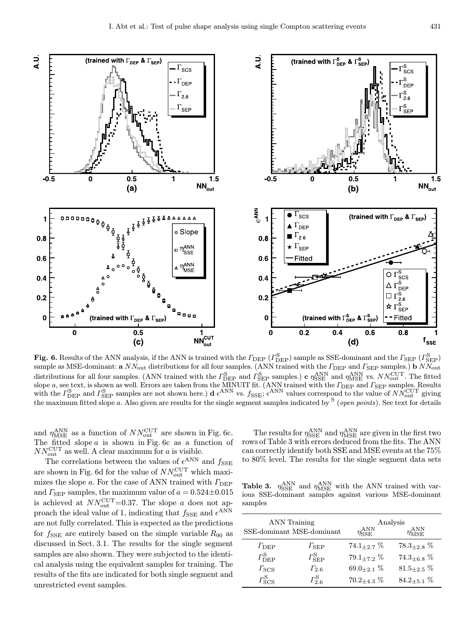

Fig. 6. Results of the ANN analysis, if the ANN is trained with the  $\Gamma_{\rm DEP}$  ( $\Gamma_{\rm DEP}^{\rm S}$ ) sample as SSE-dominant and the  $\Gamma_{\rm SEP}$  ( $\Gamma_{\rm SEP}^{\rm S}$ ) sample as MSE-dominant:  $a$   $NN_{\text{out}}$  distributions for all four samples. (ANN trained with the  $\varGamma_{\text{DEP}}$  and  $\varGamma_{\text{SEP}}$  samples.)  $b$   $NN_{\text{out}}$ distributions for all four samples. (ANN trained with the  $\Gamma_{\rm DEP}^{\rm S}$  and  $\Gamma_{\rm SEP}^{\rm S}$  samples.) c  $\eta_{\rm SSE}^{\rm ANN}$  and  $\eta_{\rm MSE}^{\rm ANN}$  vs.  $NN_{\rm out}^{\rm CUT}$ . The fitted slope a, see text, is shown as well. Errors are taken from the MINUIT fit. (ANN trained with the  $\varGamma_{\rm DEP}$  and  $\varGamma_{\rm SEP}$  samples. Results with the  $\Gamma_{\text{DEP}}^{\text{S}}$  and  $\Gamma_{\text{SEP}}^{\text{S}}$  samples are not shown here.) d  $\epsilon^{\text{ANN}}$  vs.  $f_{\text{SSE}}$ ;  $\epsilon^{\text{ANN}}$  values correspond to the value of  $NN_{\text{out}}^{\text{CUT}}$  giving the maximum fitted slope a. Also given are results for the single segment samples indicated by <sup>S</sup> (open points). See text for details

and  $\eta_{\rm MSE}^{\rm ANN}$  as a function of  $NN_{\rm out}^{\rm CUT}$  are shown in Fig. 6c. The fitted slope  $a$  is shown in Fig. 6c as a function of  $NN_{\text{out}}^{\text{CUT}}$  as well. A clear maximum for a is visible.

The correlations between the values of  $\epsilon^{\text{ANN}}$  and  $f_{\text{SSE}}$ are shown in Fig. 6d for the value of  $NN_{\text{out}}^{\text{CUT}}$  which maximizes the slope a. For the case of ANN trained with  $\Gamma_{\text{DEP}}$ and  $\Gamma_{\rm SEP}$  samples, the maximum value of  $a = 0.524 \pm 0.015$ is achieved at  $NN_{\text{out}}^{\text{CUT}}=0.37$ . The slope a does not approach the ideal value of 1, indicating that  $f_{\text{SSE}}$  and  $\epsilon^{\text{ANN}}$ are not fully correlated. This is expected as the predictions for  $f_{\text{SSE}}$  are entirely based on the simple variable  $R_{90}$  as discussed in Sect. 3.1. The results for the single segment samples are also shown. They were subjected to the identical analysis using the equivalent samples for training. The results of the fits are indicated for both single segment and unrestricted event samples.

The results for  $\eta_{\rm SSE}^{\rm ANN}$  and  $\eta_{\rm MSE}^{\rm ANN}$  are given in the first two rows of Table 3 with errors deduced from the fits. The ANN can correctly identify both SSE and MSE events at the 75% to 80% level. The results for the single segment data sets

**Table 3.**  $\eta_{SSE}^{ANN}$  and  $\eta_{MSE}^{ANN}$  with the ANN trained with various SSE-dominant samples against various MSE-dominant samples

|                            | <b>ANN</b> Training<br>SSE-dominant MSE-dominant | Analysis<br>$\eta_{\rm SSE}^{\rm ANN}$<br>$\eta_{\rm{MSE}}^{\rm{ANN}}$ |                     |  |
|----------------------------|--------------------------------------------------|------------------------------------------------------------------------|---------------------|--|
| $\Gamma_{\rm DEP}$         | $\Gamma_{\rm SEP}$                               | $74.1_{+2.7}$ %                                                        | $78.3_{\pm 2.8}$ %  |  |
| $\Gamma_{\rm DEP}^{\rm S}$ | $\varGamma_{\rm SEP}^{\rm S}$                    | $79.1_{+7.2}$ %                                                        | $74.3_{+6.8}$ %     |  |
| $\Gamma_{\rm SCS}$         | $\Gamma_{2.6}$                                   | $69.0_{+2.1}$ %                                                        | $81.5_{\pm 2.5}$ %  |  |
| $\Gamma_{\rm SCS}^{\rm S}$ | $\Gamma_{2.6}^{\rm S}$                           | $70.2_{+4.3}$ %                                                        | 84.2 $\pm$ 5.1 $\%$ |  |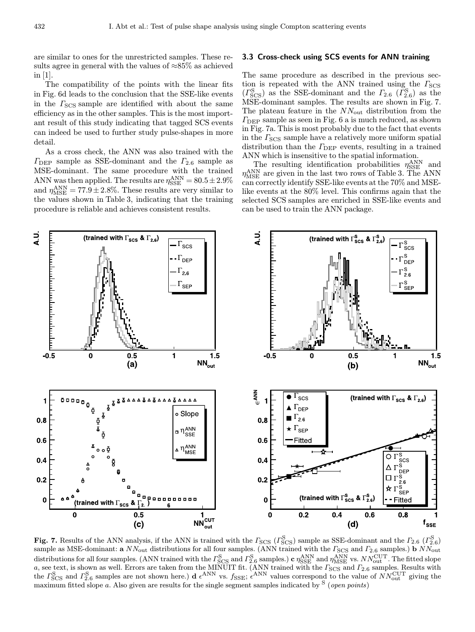are similar to ones for the unrestricted samples. These results agree in general with the values of  $\approx 85\%$  as achieved in [1].

The compatibility of the points with the linear fits in Fig. 6d leads to the conclusion that the SSE-like events in the  $\Gamma_{\text{SCS}}$  sample are identified with about the same efficiency as in the other samples. This is the most important result of this study indicating that tagged SCS events can indeed be used to further study pulse-shapes in more detail.

As a cross check, the ANN was also trained with the  $\Gamma_{\text{DEP}}$  sample as SSE-dominant and the  $\Gamma_{2.6}$  sample as MSE-dominant. The same procedure with the trained ANN was then applied. The results are  $\eta_{\rm SSE}^{\rm ANN} = 80.5 \pm 2.9\%$ and  $\eta_{\rm MSE}^{\rm ANN} = 77.9 \pm 2.8\%$ . These results are very similar to the values shown in Table 3, indicating that the training procedure is reliable and achieves consistent results.

## 3.3 Cross-check using SCS events for ANN training

The same procedure as described in the previous section is repeated with the ANN trained using the  $\Gamma_{\rm SCS}$  $(\Gamma_{\text{SCS}}^{\text{S}})$  as the SSE-dominant and the  $\Gamma_{2.6}$   $(\Gamma_{2.6}^{\text{S}})$  as the MSE-dominant samples. The results are shown in Fig. 7. The plateau feature in the  $NN_{\text{out}}$  distribution from the  $\Gamma_{\text{DEP}}$  sample as seen in Fig. 6 a is much reduced, as shown in Fig. 7a. This is most probably due to the fact that events in the  $\Gamma_{\text{SCS}}$  sample have a relatively more uniform spatial distribution than the  $\Gamma_{\text{DEP}}$  events, resulting in a trained ANN which is insensitive to the spatial information.

The resulting identification probabilities  $\eta_{\rm SSE}^{\rm ANN}$  and  $\eta_{\rm MSE}^{\rm ANN}$  are given in the last two rows of Table 3. The ANN can correctly identify SSE-like events at the 70% and MSElike events at the 80% level. This confirms again that the selected SCS samples are enriched in SSE-like events and can be used to train the ANN package.



Fig. 7. Results of the ANN analysis, if the ANN is trained with the  $\Gamma_{\rm{SCS}}$  ( $\Gamma_{\rm{SCS}}^{\rm{S}}$ ) sample as SSE-dominant and the  $\Gamma_{2.6}$  ( $\Gamma_{2.6}^{\rm{S}}$ ) sample as MSE-dominant: a  $NN_{\text{out}}$  distributions for all four samples. (ANN trained with the  $\Gamma_{\text{SCS}}$  and  $\Gamma_{2.6}$  samples.) b  $NN_{\text{out}}$ distributions for all four samples. (ANN trained with the  $\Gamma_{\rm SCS}^{\rm S}$  and  $\Gamma_{\rm 2.6}^{\rm S}$  samples.)  ${\bf c}$   $\eta_{\rm SSE}^{\rm ANN}$  and  $\eta_{\rm MSE}^{\rm ANN}$  vs.  $NN_{\rm out}^{\rm CUT}$ . The fitted slope a, see text, is shown as well. Errors are taken from the MINUIT fit. (ANN trained with the  $\Gamma_{\rm SCS}$  and  $\Gamma_{2.6}$  samples. Results with the  $\Gamma_{\text{SCS}}^{\text{S}}$  and  $\Gamma_{2.6}^{\text{S}}$  samples are not shown here.) d  $\epsilon^{\text{ANN}}$  vs.  $f_{\text{SSE}}$ ;  $\epsilon^{\text{ANN}}$  values correspond to the value of  $NN_{\text{out}}^{\text{CUT}}$  giving the maximum fitted slope a. Also given are results for the single segment samples indicated by  $S$  (*open points*)